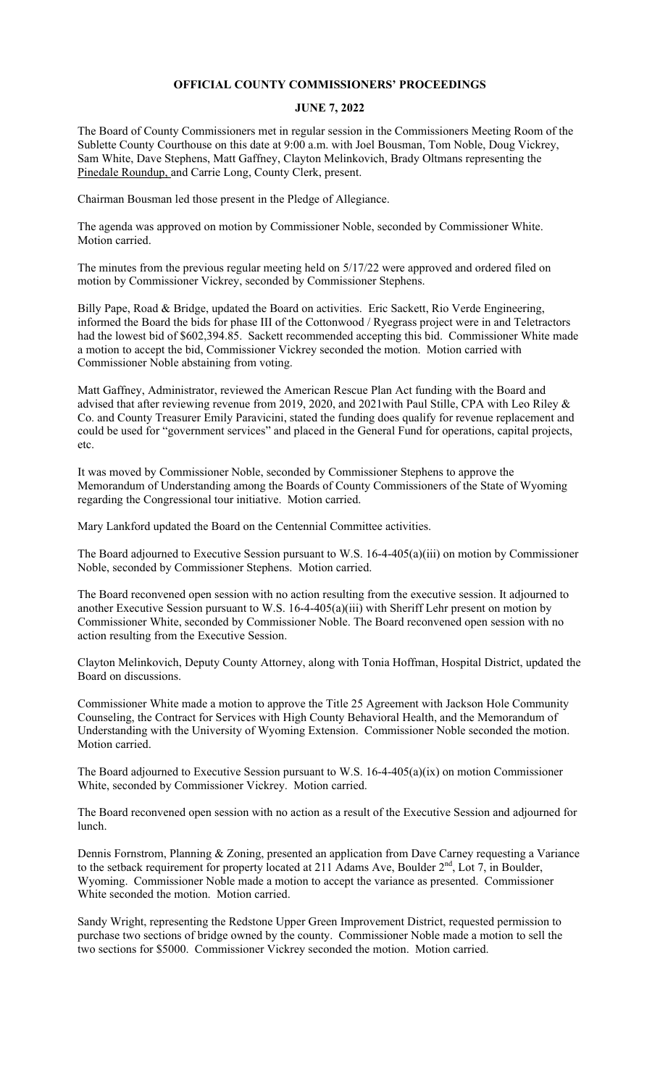## **OFFICIAL COUNTY COMMISSIONERS' PROCEEDINGS**

## **JUNE 7, 2022**

The Board of County Commissioners met in regular session in the Commissioners Meeting Room of the Sublette County Courthouse on this date at 9:00 a.m. with Joel Bousman, Tom Noble, Doug Vickrey, Sam White, Dave Stephens, Matt Gaffney, Clayton Melinkovich, Brady Oltmans representing the Pinedale Roundup, and Carrie Long, County Clerk, present.

Chairman Bousman led those present in the Pledge of Allegiance.

The agenda was approved on motion by Commissioner Noble, seconded by Commissioner White. Motion carried.

The minutes from the previous regular meeting held on 5/17/22 were approved and ordered filed on motion by Commissioner Vickrey, seconded by Commissioner Stephens.

Billy Pape, Road & Bridge, updated the Board on activities. Eric Sackett, Rio Verde Engineering, informed the Board the bids for phase III of the Cottonwood / Ryegrass project were in and Teletractors had the lowest bid of \$602,394.85. Sackett recommended accepting this bid. Commissioner White made a motion to accept the bid, Commissioner Vickrey seconded the motion. Motion carried with Commissioner Noble abstaining from voting.

Matt Gaffney, Administrator, reviewed the American Rescue Plan Act funding with the Board and advised that after reviewing revenue from 2019, 2020, and 2021with Paul Stille, CPA with Leo Riley & Co. and County Treasurer Emily Paravicini, stated the funding does qualify for revenue replacement and could be used for "government services" and placed in the General Fund for operations, capital projects, etc.

It was moved by Commissioner Noble, seconded by Commissioner Stephens to approve the Memorandum of Understanding among the Boards of County Commissioners of the State of Wyoming regarding the Congressional tour initiative. Motion carried.

Mary Lankford updated the Board on the Centennial Committee activities.

The Board adjourned to Executive Session pursuant to W.S. 16-4-405(a)(iii) on motion by Commissioner Noble, seconded by Commissioner Stephens. Motion carried.

The Board reconvened open session with no action resulting from the executive session. It adjourned to another Executive Session pursuant to W.S. 16-4-405(a)(iii) with Sheriff Lehr present on motion by Commissioner White, seconded by Commissioner Noble. The Board reconvened open session with no action resulting from the Executive Session.

Clayton Melinkovich, Deputy County Attorney, along with Tonia Hoffman, Hospital District, updated the Board on discussions.

Commissioner White made a motion to approve the Title 25 Agreement with Jackson Hole Community Counseling, the Contract for Services with High County Behavioral Health, and the Memorandum of Understanding with the University of Wyoming Extension. Commissioner Noble seconded the motion. Motion carried.

The Board adjourned to Executive Session pursuant to W.S. 16-4-405(a)(ix) on motion Commissioner White, seconded by Commissioner Vickrey. Motion carried.

The Board reconvened open session with no action as a result of the Executive Session and adjourned for lunch.

Dennis Fornstrom, Planning & Zoning, presented an application from Dave Carney requesting a Variance to the setback requirement for property located at 211 Adams Ave, Boulder 2<sup>nd</sup>, Lot 7, in Boulder, Wyoming. Commissioner Noble made a motion to accept the variance as presented. Commissioner White seconded the motion. Motion carried.

Sandy Wright, representing the Redstone Upper Green Improvement District, requested permission to purchase two sections of bridge owned by the county. Commissioner Noble made a motion to sell the two sections for \$5000. Commissioner Vickrey seconded the motion. Motion carried.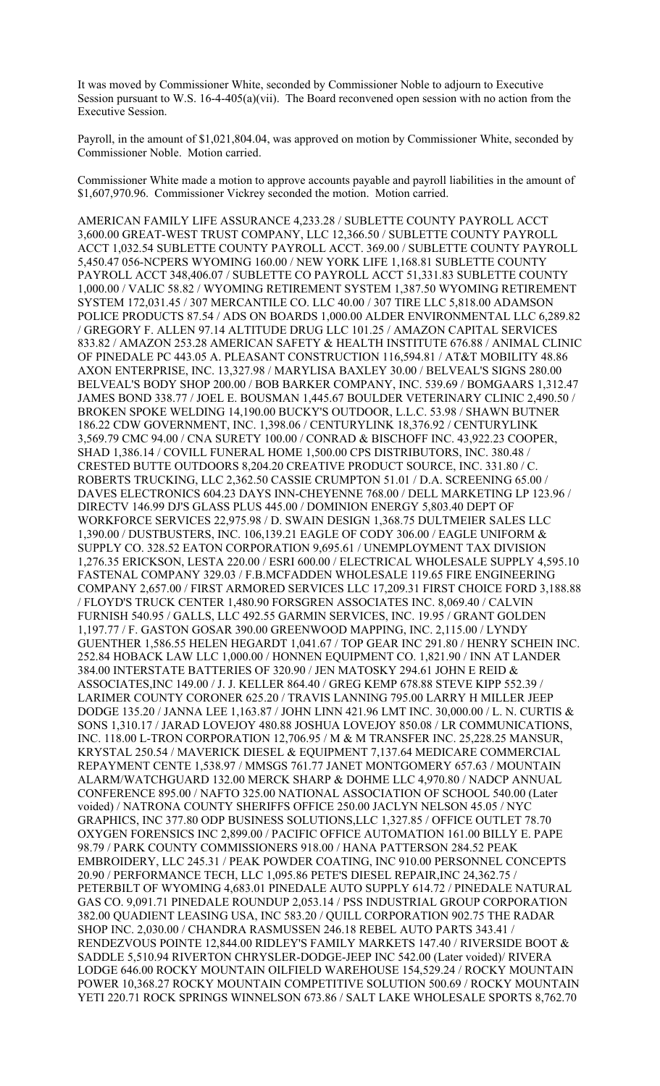It was moved by Commissioner White, seconded by Commissioner Noble to adjourn to Executive Session pursuant to W.S. 16-4-405(a)(vii). The Board reconvened open session with no action from the Executive Session.

Payroll, in the amount of \$1,021,804.04, was approved on motion by Commissioner White, seconded by Commissioner Noble. Motion carried.

Commissioner White made a motion to approve accounts payable and payroll liabilities in the amount of \$1,607,970.96. Commissioner Vickrey seconded the motion. Motion carried.

AMERICAN FAMILY LIFE ASSURANCE 4,233.28 / SUBLETTE COUNTY PAYROLL ACCT 3,600.00 GREAT-WEST TRUST COMPANY, LLC 12,366.50 / SUBLETTE COUNTY PAYROLL ACCT 1,032.54 SUBLETTE COUNTY PAYROLL ACCT. 369.00 / SUBLETTE COUNTY PAYROLL 5,450.47 056-NCPERS WYOMING 160.00 / NEW YORK LIFE 1,168.81 SUBLETTE COUNTY PAYROLL ACCT 348,406.07 / SUBLETTE CO PAYROLL ACCT 51,331.83 SUBLETTE COUNTY 1,000.00 / VALIC 58.82 / WYOMING RETIREMENT SYSTEM 1,387.50 WYOMING RETIREMENT SYSTEM 172,031.45 / 307 MERCANTILE CO. LLC 40.00 / 307 TIRE LLC 5,818.00 ADAMSON POLICE PRODUCTS 87.54 / ADS ON BOARDS 1,000.00 ALDER ENVIRONMENTAL LLC 6,289.82 / GREGORY F. ALLEN 97.14 ALTITUDE DRUG LLC 101.25 / AMAZON CAPITAL SERVICES 833.82 / AMAZON 253.28 AMERICAN SAFETY & HEALTH INSTITUTE 676.88 / ANIMAL CLINIC OF PINEDALE PC 443.05 A. PLEASANT CONSTRUCTION 116,594.81 / AT&T MOBILITY 48.86 AXON ENTERPRISE, INC. 13,327.98 / MARYLISA BAXLEY 30.00 / BELVEAL'S SIGNS 280.00 BELVEAL'S BODY SHOP 200.00 / BOB BARKER COMPANY, INC. 539.69 / BOMGAARS 1,312.47 JAMES BOND 338.77 / JOEL E. BOUSMAN 1,445.67 BOULDER VETERINARY CLINIC 2,490.50 / BROKEN SPOKE WELDING 14,190.00 BUCKY'S OUTDOOR, L.L.C. 53.98 / SHAWN BUTNER 186.22 CDW GOVERNMENT, INC. 1,398.06 / CENTURYLINK 18,376.92 / CENTURYLINK 3,569.79 CMC 94.00 / CNA SURETY 100.00 / CONRAD & BISCHOFF INC. 43,922.23 COOPER, SHAD 1,386.14 / COVILL FUNERAL HOME 1,500.00 CPS DISTRIBUTORS, INC. 380.48 / CRESTED BUTTE OUTDOORS 8,204.20 CREATIVE PRODUCT SOURCE, INC. 331.80 / C. ROBERTS TRUCKING, LLC 2,362.50 CASSIE CRUMPTON 51.01 / D.A. SCREENING 65.00 / DAVES ELECTRONICS 604.23 DAYS INN-CHEYENNE 768.00 / DELL MARKETING LP 123.96 / DIRECTV 146.99 DJ'S GLASS PLUS 445.00 / DOMINION ENERGY 5,803.40 DEPT OF WORKFORCE SERVICES 22,975.98 / D. SWAIN DESIGN 1,368.75 DULTMEIER SALES LLC 1,390.00 / DUSTBUSTERS, INC. 106,139.21 EAGLE OF CODY 306.00 / EAGLE UNIFORM & SUPPLY CO. 328.52 EATON CORPORATION 9,695.61 / UNEMPLOYMENT TAX DIVISION 1,276.35 ERICKSON, LESTA 220.00 / ESRI 600.00 / ELECTRICAL WHOLESALE SUPPLY 4,595.10 FASTENAL COMPANY 329.03 / F.B.MCFADDEN WHOLESALE 119.65 FIRE ENGINEERING COMPANY 2,657.00 / FIRST ARMORED SERVICES LLC 17,209.31 FIRST CHOICE FORD 3,188.88 / FLOYD'S TRUCK CENTER 1,480.90 FORSGREN ASSOCIATES INC. 8,069.40 / CALVIN FURNISH 540.95 / GALLS, LLC 492.55 GARMIN SERVICES, INC. 19.95 / GRANT GOLDEN 1,197.77 / F. GASTON GOSAR 390.00 GREENWOOD MAPPING, INC. 2,115.00 / LYNDY GUENTHER 1,586.55 HELEN HEGARDT 1,041.67 / TOP GEAR INC 291.80 / HENRY SCHEIN INC. 252.84 HOBACK LAW LLC 1,000.00 / HONNEN EQUIPMENT CO. 1,821.90 / INN AT LANDER 384.00 INTERSTATE BATTERIES OF 320.90 / JEN MATOSKY 294.61 JOHN E REID & ASSOCIATES,INC 149.00 / J. J. KELLER 864.40 / GREG KEMP 678.88 STEVE KIPP 552.39 / LARIMER COUNTY CORONER 625.20 / TRAVIS LANNING 795.00 LARRY H MILLER JEEP DODGE 135.20 / JANNA LEE 1,163.87 / JOHN LINN 421.96 LMT INC. 30,000.00 / L. N. CURTIS & SONS 1,310.17 / JARAD LOVEJOY 480.88 JOSHUA LOVEJOY 850.08 / LR COMMUNICATIONS, INC. 118.00 L-TRON CORPORATION 12,706.95 / M & M TRANSFER INC. 25,228.25 MANSUR, KRYSTAL 250.54 / MAVERICK DIESEL & EQUIPMENT 7,137.64 MEDICARE COMMERCIAL REPAYMENT CENTE 1,538.97 / MMSGS 761.77 JANET MONTGOMERY 657.63 / MOUNTAIN ALARM/WATCHGUARD 132.00 MERCK SHARP & DOHME LLC 4,970.80 / NADCP ANNUAL CONFERENCE 895.00 / NAFTO 325.00 NATIONAL ASSOCIATION OF SCHOOL 540.00 (Later voided) / NATRONA COUNTY SHERIFFS OFFICE 250.00 JACLYN NELSON 45.05 / NYC GRAPHICS, INC 377.80 ODP BUSINESS SOLUTIONS,LLC 1,327.85 / OFFICE OUTLET 78.70 OXYGEN FORENSICS INC 2,899.00 / PACIFIC OFFICE AUTOMATION 161.00 BILLY E. PAPE 98.79 / PARK COUNTY COMMISSIONERS 918.00 / HANA PATTERSON 284.52 PEAK EMBROIDERY, LLC 245.31 / PEAK POWDER COATING, INC 910.00 PERSONNEL CONCEPTS 20.90 / PERFORMANCE TECH, LLC 1,095.86 PETE'S DIESEL REPAIR,INC 24,362.75 / PETERBILT OF WYOMING 4,683.01 PINEDALE AUTO SUPPLY 614.72 / PINEDALE NATURAL GAS CO. 9,091.71 PINEDALE ROUNDUP 2,053.14 / PSS INDUSTRIAL GROUP CORPORATION 382.00 QUADIENT LEASING USA, INC 583.20 / QUILL CORPORATION 902.75 THE RADAR SHOP INC. 2,030.00 / CHANDRA RASMUSSEN 246.18 REBEL AUTO PARTS 343.41 / RENDEZVOUS POINTE 12,844.00 RIDLEY'S FAMILY MARKETS 147.40 / RIVERSIDE BOOT & SADDLE 5,510.94 RIVERTON CHRYSLER-DODGE-JEEP INC 542.00 (Later voided)/ RIVERA LODGE 646.00 ROCKY MOUNTAIN OILFIELD WAREHOUSE 154,529.24 / ROCKY MOUNTAIN POWER 10,368.27 ROCKY MOUNTAIN COMPETITIVE SOLUTION 500.69 / ROCKY MOUNTAIN YETI 220.71 ROCK SPRINGS WINNELSON 673.86 / SALT LAKE WHOLESALE SPORTS 8,762.70